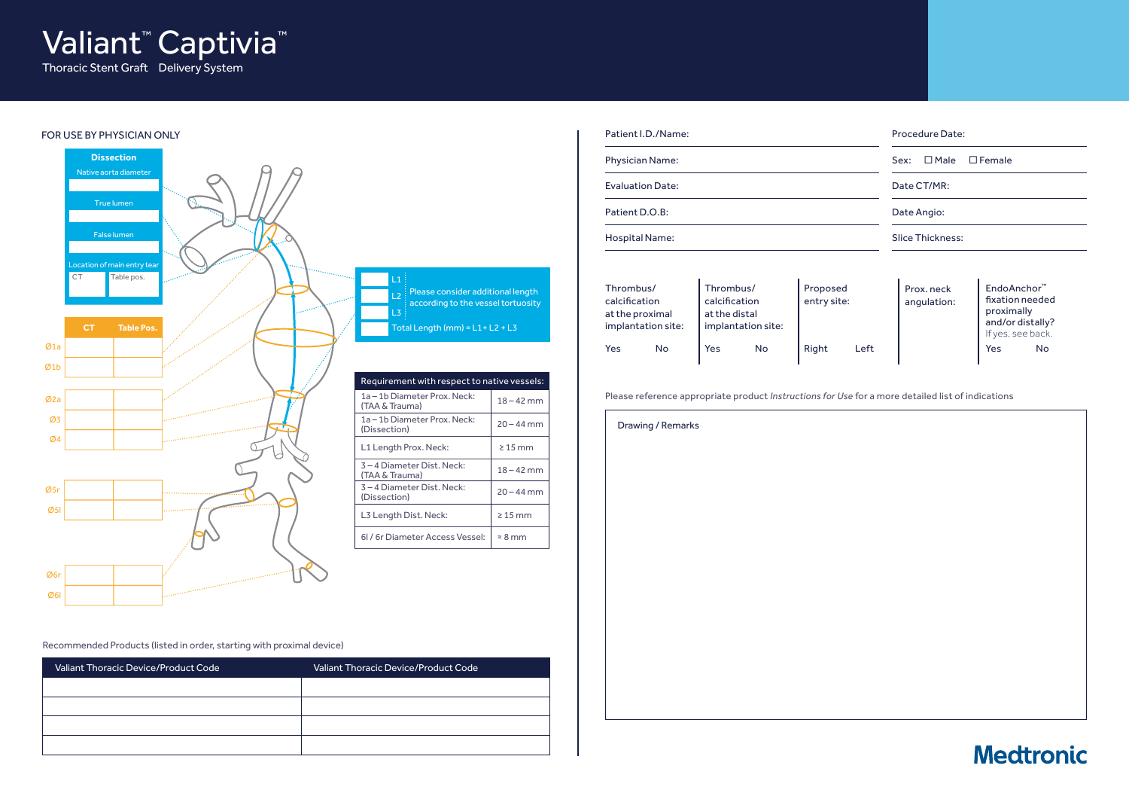

#### FOR USE BY PHYSICIAN ONLY



| Patient I.D./Name:      | Procedure Date:      |
|-------------------------|----------------------|
| <b>Physician Name:</b>  | Sex: □ Male □ Female |
| <b>Evaluation Date:</b> | Date CT/MR:          |
| Patient D.O.B:          | Date Angio:          |
| Hospital Name:          | Slice Thickness:     |

| Thrombus/<br>calcification<br>at the proximal<br>implantation site: |    | Thrombus/<br>calcification<br>at the distal<br>implantation site: |    | Proposed<br>entry site: |      | Prox. neck<br>angulation: | EndoAnchor <sup>™</sup><br>fixation needed<br>proximally<br>and/or distally?<br>If yes, see back. |    |
|---------------------------------------------------------------------|----|-------------------------------------------------------------------|----|-------------------------|------|---------------------------|---------------------------------------------------------------------------------------------------|----|
| Yes                                                                 | No | <b>Yes</b>                                                        | No | Right                   | Left |                           | Yes                                                                                               | No |

Please reference appropriate product *Instructions for Use* for a more detailed list of indications

Drawing / Remarks

#### Recommended Products (listed in order, starting with proximal device)

| Valiant Thoracic Device/Product Code | Valiant Thoracic Device/Product Code |
|--------------------------------------|--------------------------------------|
|                                      |                                      |
|                                      |                                      |
|                                      |                                      |
|                                      |                                      |

## **Medtronic**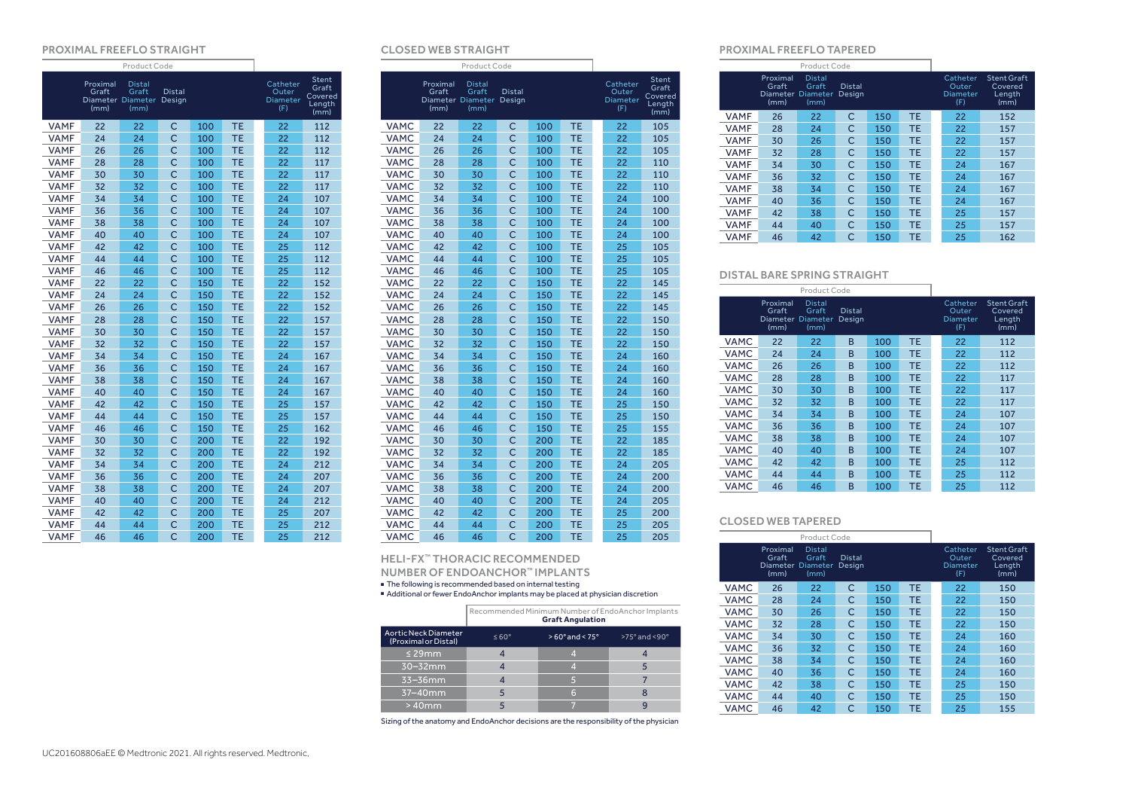#### PROXIMAL FREEFLO STRAIGHT

|             | Proximal<br>Graft<br>(mm) | <b>Distal</b><br>Graft<br>Diameter Diameter<br>(mm) | <b>Distal</b><br>Design |     |           | Catheter<br>Outer<br>Diameter<br>(F) | Stent<br>Graft<br>Covered<br>Length<br>(mm) |
|-------------|---------------------------|-----------------------------------------------------|-------------------------|-----|-----------|--------------------------------------|---------------------------------------------|
| <b>VAMF</b> | 22                        | 22                                                  | C                       | 100 | <b>TE</b> | 22                                   | 112                                         |
| <b>VAMF</b> | 24                        | 24                                                  | $\overline{C}$          | 100 | <b>TE</b> | 22                                   | 112                                         |
| <b>VAMF</b> | 26                        | 26                                                  | C                       | 100 | <b>TE</b> | 22                                   | 112                                         |
| <b>VAMF</b> | 28                        | 28                                                  | Ċ                       | 100 | <b>TE</b> | 22                                   | 117                                         |
| <b>VAMF</b> | 30                        | 30                                                  | Ċ                       | 100 | TE        | 22                                   | 117                                         |
| <b>VAMF</b> | 32                        | 32                                                  | Ċ                       | 100 | TE        | 22                                   | 117                                         |
| <b>VAMF</b> | 34                        | 34                                                  | $\overline{C}$          | 100 | <b>TE</b> | 24                                   | 107                                         |
| <b>VAMF</b> | 36                        | 36                                                  | $\overline{C}$          | 100 | <b>TE</b> | 24                                   | 107                                         |
| <b>VAMF</b> | 38                        | 38                                                  | Ċ                       | 100 | TE        | 24                                   | 107                                         |
| <b>VAMF</b> | 40                        | 40                                                  | Ċ                       | 100 | <b>TE</b> | 24                                   | 107                                         |
| <b>VAMF</b> | 42                        | 42                                                  | Ċ                       | 100 | <b>TE</b> | 25                                   | 112                                         |
| <b>VAMF</b> | 44                        | 44                                                  | Ċ                       | 100 | TE        | 25                                   | 112                                         |
| <b>VAMF</b> | 46                        | 46                                                  | Ċ                       | 100 | TE        | 25                                   | 112                                         |
| <b>VAMF</b> | 22                        | 22                                                  | Ċ                       | 150 | TE        | 22                                   | 152                                         |
| <b>VAMF</b> | 24                        | 24                                                  | Ċ                       | 150 | TE        | 22                                   | 152                                         |
| <b>VAMF</b> | 26                        | 26                                                  | Ċ                       | 150 | <b>TE</b> | 22                                   | 152                                         |
| <b>VAMF</b> | 28                        | 28                                                  | $\overline{C}$          | 150 | <b>TE</b> | 22                                   | 157                                         |
| <b>VAMF</b> | 30                        | 30                                                  | $\overline{C}$          | 150 | <b>TE</b> | 22                                   | 157                                         |
| <b>VAMF</b> | 32                        | 32                                                  | $\mathsf{C}$            | 150 | <b>TE</b> | 22                                   | 157                                         |
| <b>VAMF</b> | 34                        | 34                                                  | Ċ                       | 150 | <b>TE</b> | 24                                   | 167                                         |
| <b>VAMF</b> | 36                        | 36                                                  | C                       | 150 | <b>TE</b> | 24                                   | 167                                         |
| <b>VAMF</b> | 38                        | 38                                                  | Ċ                       | 150 | <b>TE</b> | 24                                   | 167                                         |
| <b>VAMF</b> | 40                        | 40                                                  | C                       | 150 | TE        | 24                                   | 167                                         |
| <b>VAMF</b> | 42                        | 42                                                  | Ċ                       | 150 | TE        | 25                                   | 157                                         |
| <b>VAMF</b> | 44                        | 44                                                  | Ċ                       | 150 | <b>TE</b> | 25                                   | 157                                         |
| <b>VAMF</b> | 46                        | 46                                                  | Ċ                       | 150 | <b>TE</b> | 25                                   | 162                                         |
| <b>VAMF</b> | 30                        | 30                                                  | Ċ                       | 200 | TE        | 22                                   | 192                                         |
| <b>VAMF</b> | 32                        | 32                                                  | $\overline{C}$          | 200 | <b>TE</b> | 22                                   | 192                                         |
| <b>VAMF</b> | 34                        | 34                                                  | Ċ                       | 200 | TE        | 24                                   | 212                                         |
| <b>VAMF</b> | 36                        | 36                                                  | Ċ                       | 200 | TE        | 24                                   | 207                                         |
| <b>VAMF</b> | 38                        | 38                                                  | Ċ                       | 200 | TE        | 24                                   | 207                                         |
| <b>VAMF</b> | 40                        | 40                                                  | Ċ                       | 200 | TE        | 24                                   | 212                                         |
| <b>VAMF</b> | 42                        | 42                                                  | Ċ                       | 200 | <b>TE</b> | 25                                   | 207                                         |
| <b>VAMF</b> | 44                        | 44                                                  | C                       | 200 | <b>TE</b> | 25                                   | 212                                         |
| <b>VAMF</b> | 46                        | 46                                                  | Ċ                       | 200 | TE        | 25                                   | 212                                         |

#### CLOSED WEB STRAIGHT

|             | Proximal<br>Graft<br>(mm) | <b>Distal</b><br>Graft<br>Diameter Diameter<br>(mm) | <b>Distal</b><br>Design |     |           | Catheter<br>Outer<br><b>Diameter</b><br>(F) | <b>Stent</b><br>Graft<br>Covered<br>Length<br>(mm) |
|-------------|---------------------------|-----------------------------------------------------|-------------------------|-----|-----------|---------------------------------------------|----------------------------------------------------|
| <b>VAMC</b> | 22                        | 22                                                  | C                       | 100 | <b>TE</b> | 22                                          | 105                                                |
| <b>VAMC</b> | 24                        | 24                                                  | $\overline{C}$          | 100 | <b>TE</b> | 22                                          | 105                                                |
| <b>VAMC</b> | 26                        | 26                                                  | Ċ                       | 100 | <b>TE</b> | 22                                          | 105                                                |
| <b>VAMC</b> | 28                        | 28                                                  | Ċ                       | 100 | <b>TE</b> | 22                                          | 110                                                |
| <b>VAMC</b> | 30                        | 30                                                  | Ċ                       | 100 | TE        | 22                                          | 110                                                |
| <b>VAMC</b> | 32                        | 32                                                  | Ċ                       | 100 | <b>TE</b> | 22                                          | 110                                                |
| <b>VAMC</b> | 34                        | 34                                                  | Ċ                       | 100 | <b>TE</b> | 24                                          | 100                                                |
| <b>VAMC</b> | 36                        | 36                                                  | Ċ                       | 100 | TE        | 24                                          | 100                                                |
| <b>VAMC</b> | 38                        | 38                                                  | Ċ                       | 100 | <b>TE</b> | 24                                          | 100                                                |
| <b>VAMC</b> | 40                        | 40                                                  | $\overline{C}$          | 100 | <b>TE</b> | 24                                          | 100                                                |
| <b>VAMC</b> | 42                        | 42                                                  | Ċ                       | 100 | <b>TE</b> | 25                                          | 105                                                |
| <b>VAMC</b> | 44                        | 44                                                  | Ċ                       | 100 | <b>TE</b> | 25                                          | 105                                                |
| <b>VAMC</b> | 46                        | 46                                                  | Ċ                       | 100 | TE        | 25                                          | 105                                                |
| <b>VAMC</b> | 22                        | 22                                                  | Ċ                       | 150 | TE        | 22                                          | 145                                                |
| <b>VAMC</b> | 24                        | 24                                                  | Ċ                       | 150 | <b>TE</b> | 22                                          | 145                                                |
| <b>VAMC</b> | 26                        | 26                                                  | Ċ                       | 150 | <b>TE</b> | 22                                          | 145                                                |
| <b>VAMC</b> | 28                        | 28                                                  | Ċ                       | 150 | <b>TE</b> | 22                                          | 150                                                |
| <b>VAMC</b> | 30                        | 30                                                  | $\overline{C}$          | 150 | <b>TE</b> | 22                                          | 150                                                |
| <b>VAMC</b> | 32                        | 32                                                  | Ċ                       | 150 | <b>TE</b> | 22                                          | 150                                                |
| <b>VAMC</b> | 34                        | 34                                                  | Ċ                       | 150 | <b>TE</b> | 24                                          | 160                                                |
| <b>VAMC</b> | 36                        | 36                                                  | Ċ                       | 150 | TE        | 24                                          | 160                                                |
| <b>VAMC</b> | 38                        | 38                                                  | Ċ                       | 150 | <b>TE</b> | 24                                          | 160                                                |
| <b>VAMC</b> | 40                        | 40                                                  | Ċ                       | 150 | <b>TE</b> | 24                                          | 160                                                |
| <b>VAMC</b> | 42                        | 42                                                  | $\overline{C}$          | 150 | <b>TE</b> | 25                                          | 150                                                |
| <b>VAMC</b> | 44                        | 44                                                  | Ċ                       | 150 | <b>TE</b> | 25                                          | 150                                                |
| <b>VAMC</b> | 46                        | 46                                                  | Ċ                       | 150 | <b>TE</b> | 25                                          | 155                                                |
| <b>VAMC</b> | 30                        | 30                                                  | $\overline{C}$          | 200 | <b>TE</b> | 22                                          | 185                                                |
| <b>VAMC</b> | 32                        | 32                                                  | $\overline{C}$          | 200 | <b>TE</b> | 22                                          | 185                                                |
| <b>VAMC</b> | 34                        | 34                                                  | $\overline{C}$          | 200 | TE        | 24                                          | 205                                                |
| <b>VAMC</b> | 36                        | 36                                                  | Ċ                       | 200 | TE        | 24                                          | 200                                                |
| <b>VAMC</b> | 38                        | 38                                                  | Ċ                       | 200 | <b>TE</b> | 24                                          | 200                                                |
| <b>VAMC</b> | 40                        | 40                                                  | $\overline{C}$          | 200 | <b>TE</b> | 24                                          | 205                                                |
| <b>VAMC</b> | 42                        | 42                                                  | $\overline{C}$          | 200 | <b>TE</b> | 25                                          | 200                                                |
| <b>VAMC</b> | 44                        | 44                                                  | Ċ                       | 200 | <b>TE</b> | 25                                          | 205                                                |
| <b>VAMC</b> | 46                        | 46                                                  | $\overline{C}$          | 200 | <b>TE</b> | 25                                          | 205                                                |

### heli-fx™ thoracic recommended

number of EndoAnchor™ implants

■ The following is recommended based on internal testing<br>■ Additional or fewer EndoAnchor implants may be placed at physician discretion

|                                                     | Recommended Minimum Number of EndoAnchor Implants<br><b>Graft Angulation</b> |                                  |                              |  |  |  |  |  |
|-----------------------------------------------------|------------------------------------------------------------------------------|----------------------------------|------------------------------|--|--|--|--|--|
| <b>Aortic Neck Diameter</b><br>(Proximal or Distal) | $\leq 60^{\circ}$                                                            | $>60^{\circ}$ and $< 75^{\circ}$ | $>75^\circ$ and $< 90^\circ$ |  |  |  |  |  |
| $\leq$ 29mm                                         |                                                                              |                                  |                              |  |  |  |  |  |
| $30 - 32$ mm                                        |                                                                              |                                  |                              |  |  |  |  |  |
| $33-36$ mm                                          |                                                                              |                                  |                              |  |  |  |  |  |
| $37 - 40$ mm                                        |                                                                              |                                  |                              |  |  |  |  |  |
| $>40$ mm                                            |                                                                              |                                  |                              |  |  |  |  |  |

Sizing of the anatomy and EndoAnchor decisions are the responsibility of the physician

#### Proximal freeflo tapered

|             | Proximal<br>Graft<br><b>Diameter</b><br>(mm) | <b>Distal</b><br>Graft<br>Diameter<br>(mm) | <b>Distal</b><br>Design |     |           | Catheter<br>Outer<br>Diameter<br>(F) | <b>Stent Graft</b><br>Covered<br>Length<br>(mm) |
|-------------|----------------------------------------------|--------------------------------------------|-------------------------|-----|-----------|--------------------------------------|-------------------------------------------------|
| <b>VAMF</b> | 26                                           | 22                                         | С                       | 150 | <b>TE</b> | 22                                   | 152                                             |
| <b>VAMF</b> | 28                                           | 24                                         | С                       | 150 | <b>TE</b> | 22                                   | 157                                             |
| <b>VAMF</b> | 30                                           | 26                                         | С                       | 150 | <b>TE</b> | 22                                   | 157                                             |
| <b>VAMF</b> | 32                                           | 28                                         | С                       | 150 | <b>TE</b> | 22                                   | 157                                             |
| <b>VAMF</b> | 34                                           | 30                                         | С                       | 150 | <b>TE</b> | 24                                   | 167                                             |
| <b>VAMF</b> | 36                                           | 32                                         | С                       | 150 | <b>TE</b> | 24                                   | 167                                             |
| <b>VAMF</b> | 38                                           | 34                                         | С                       | 150 | <b>TE</b> | 24                                   | 167                                             |
| <b>VAMF</b> | 40                                           | 36                                         | С                       | 150 | <b>TE</b> | 24                                   | 167                                             |
| <b>VAMF</b> | 42                                           | 38                                         | С                       | 150 | <b>TE</b> | 25                                   | 157                                             |
| <b>VAMF</b> | 44                                           | 40                                         | С                       | 150 | <b>TE</b> | 25                                   | 157                                             |
| <b>VAMF</b> | 46                                           | 42                                         | Ċ                       | 150 | <b>TE</b> | 25                                   | 162                                             |

#### DISTAL BARE SPRING STRAIGHT

|             | Proximal<br>Graft<br><b>Diameter</b><br>(mm) | <b>Distal</b><br>Graft<br><b>Diameter</b><br>(mm) | <b>Distal</b><br>Design |     |           | Catheter<br>Outer<br><b>Diameter</b><br>(F) | <b>Stent Graft</b><br>Covered<br>Length<br>(mm) |
|-------------|----------------------------------------------|---------------------------------------------------|-------------------------|-----|-----------|---------------------------------------------|-------------------------------------------------|
| VAMC        | 22                                           | 22                                                | B                       | 100 | <b>TE</b> | 22                                          | 112                                             |
| VAMC        | 24                                           | 24                                                | B                       | 100 | <b>TE</b> | 22                                          | 112                                             |
| <b>VAMC</b> | 26                                           | 26                                                | B                       | 100 | <b>TE</b> | 22                                          | 112                                             |
| <b>VAMC</b> | 28                                           | 28                                                | B                       | 100 | <b>TE</b> | 22                                          | 117                                             |
| <b>VAMC</b> | 30                                           | 30                                                | B                       | 100 | <b>TE</b> | 22                                          | 117                                             |
| <b>VAMC</b> | 32                                           | 32                                                | B                       | 100 | <b>TE</b> | 22                                          | 117                                             |
| <b>VAMC</b> | 34                                           | 34                                                | B                       | 100 | <b>TE</b> | 24                                          | 107                                             |
| <b>VAMC</b> | 36                                           | 36                                                | B                       | 100 | <b>TE</b> | 24                                          | 107                                             |
| <b>VAMC</b> | 38                                           | 38                                                | B                       | 100 | <b>TE</b> | 24                                          | 107                                             |
| <b>VAMC</b> | 40                                           | 40                                                | B                       | 100 | <b>TE</b> | 24                                          | 107                                             |
| <b>VAMC</b> | 42                                           | 42                                                | B                       | 100 | <b>TE</b> | 25                                          | 112                                             |
| <b>VAMC</b> | 44                                           | 44                                                | B                       | 100 | <b>TE</b> | 25                                          | 112                                             |
| <b>VAMC</b> | 46                                           | 46                                                | B                       | 100 | TE        | 25                                          | 112                                             |

#### CLOSED WEB TAPERED

|             | Proximal<br>Graft<br>Diameter<br>(mm) | <b>Distal</b><br>Graft<br><b>Diameter</b><br>(mm) | <b>Distal</b><br>Design |     |           | Catheter<br>Outer<br><b>Diameter</b><br>(F) | <b>Stent Graft</b><br>Covered<br>Length<br>(mm) |
|-------------|---------------------------------------|---------------------------------------------------|-------------------------|-----|-----------|---------------------------------------------|-------------------------------------------------|
| <b>VAMC</b> | 26                                    | 22                                                | C                       | 150 | TE        | 22                                          | 150                                             |
| <b>VAMC</b> | 28                                    | 24                                                | C                       | 150 | <b>TE</b> | 22                                          | 150                                             |
| <b>VAMC</b> | 30                                    | 26                                                | C                       | 150 | TE        | 22                                          | 150                                             |
| <b>VAMC</b> | 32                                    | 28                                                | С                       | 150 | <b>TE</b> | 22                                          | 150                                             |
| <b>VAMC</b> | 34                                    | 30                                                | C                       | 150 | <b>TE</b> | 24                                          | 160                                             |
| <b>VAMC</b> | 36                                    | 32                                                | C                       | 150 | <b>TE</b> | 24                                          | 160                                             |
| <b>VAMC</b> | 38                                    | 34                                                | C                       | 150 | <b>TE</b> | 24                                          | 160                                             |
| <b>VAMC</b> | 40                                    | 36                                                | C                       | 150 | <b>TE</b> | 24                                          | 160                                             |
| <b>VAMC</b> | 42                                    | 38                                                | C                       | 150 | <b>TE</b> | 25                                          | 150                                             |
| <b>VAMC</b> | 44                                    | 40                                                | C                       | 150 | <b>TE</b> | 25                                          | 150                                             |
| <b>VAMC</b> | 46                                    | 42                                                | Ċ                       | 150 | TE        | 25                                          | 155                                             |